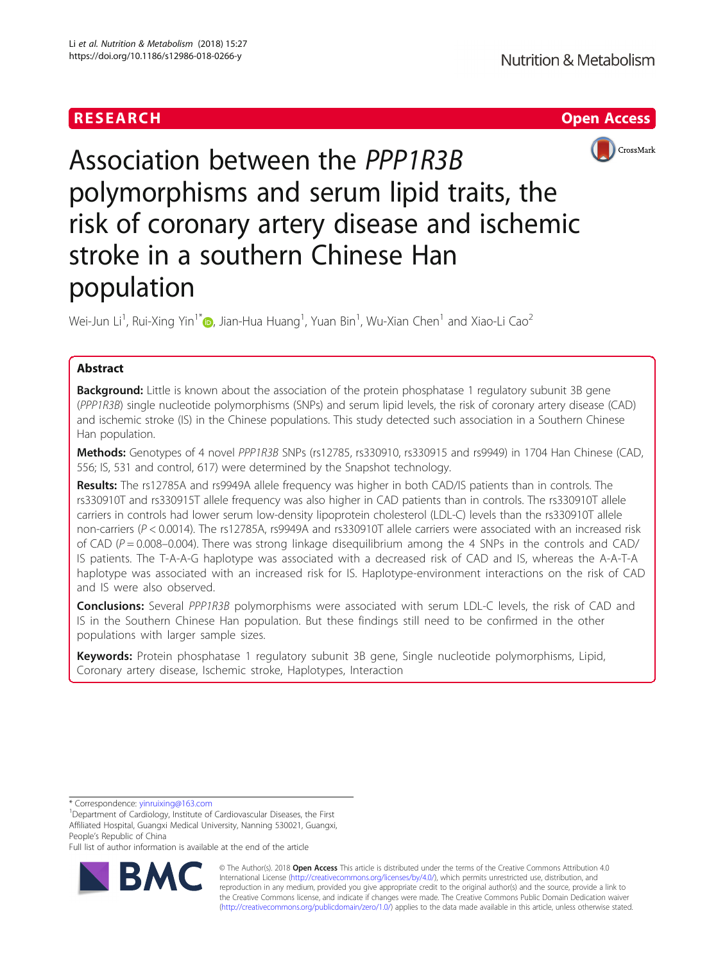## RESEARCH **RESEARCH CHOOSE INTERNATIONAL CONTRACT CONTRACT OF ACCESS**



# Association between the PPP1R3B polymorphisms and serum lipid traits, the risk of coronary artery disease and ischemic stroke in a southern Chinese Han population

Wei-Jun Li $^1$ , Rui-Xing Yin $^{1^\ast}$ D, Jian-Hua Huang $^1$ , Yuan Bin $^1$ , Wu-Xian Chen $^1$  and Xiao-Li Cao $^2$ 

## Abstract

**Background:** Little is known about the association of the protein phosphatase 1 regulatory subunit 3B gene (PPP1R3B) single nucleotide polymorphisms (SNPs) and serum lipid levels, the risk of coronary artery disease (CAD) and ischemic stroke (IS) in the Chinese populations. This study detected such association in a Southern Chinese Han population.

Methods: Genotypes of 4 novel PPP1R3B SNPs (rs12785, rs330910, rs330915 and rs9949) in 1704 Han Chinese (CAD, 556; IS, 531 and control, 617) were determined by the Snapshot technology.

Results: The rs12785A and rs9949A allele frequency was higher in both CAD/IS patients than in controls. The rs330910T and rs330915T allele frequency was also higher in CAD patients than in controls. The rs330910T allele carriers in controls had lower serum low-density lipoprotein cholesterol (LDL-C) levels than the rs330910T allele non-carriers (P < 0.0014). The rs12785A, rs9949A and rs330910T allele carriers were associated with an increased risk of CAD ( $P = 0.008-0.004$ ). There was strong linkage disequilibrium among the 4 SNPs in the controls and CAD/ IS patients. The T-A-A-G haplotype was associated with a decreased risk of CAD and IS, whereas the A-A-T-A haplotype was associated with an increased risk for IS. Haplotype-environment interactions on the risk of CAD and IS were also observed.

Conclusions: Several PPP1R3B polymorphisms were associated with serum LDL-C levels, the risk of CAD and IS in the Southern Chinese Han population. But these findings still need to be confirmed in the other populations with larger sample sizes.

Keywords: Protein phosphatase 1 regulatory subunit 3B gene, Single nucleotide polymorphisms, Lipid, Coronary artery disease, Ischemic stroke, Haplotypes, Interaction

\* Correspondence: [yinruixing@163.com](mailto:yinruixing@163.com) <sup>1</sup>

<sup>1</sup>Department of Cardiology, Institute of Cardiovascular Diseases, the First Affiliated Hospital, Guangxi Medical University, Nanning 530021, Guangxi, People's Republic of China

Full list of author information is available at the end of the article



© The Author(s). 2018 Open Access This article is distributed under the terms of the Creative Commons Attribution 4.0 International License [\(http://creativecommons.org/licenses/by/4.0/](http://creativecommons.org/licenses/by/4.0/)), which permits unrestricted use, distribution, and reproduction in any medium, provided you give appropriate credit to the original author(s) and the source, provide a link to the Creative Commons license, and indicate if changes were made. The Creative Commons Public Domain Dedication waiver [\(http://creativecommons.org/publicdomain/zero/1.0/](http://creativecommons.org/publicdomain/zero/1.0/)) applies to the data made available in this article, unless otherwise stated.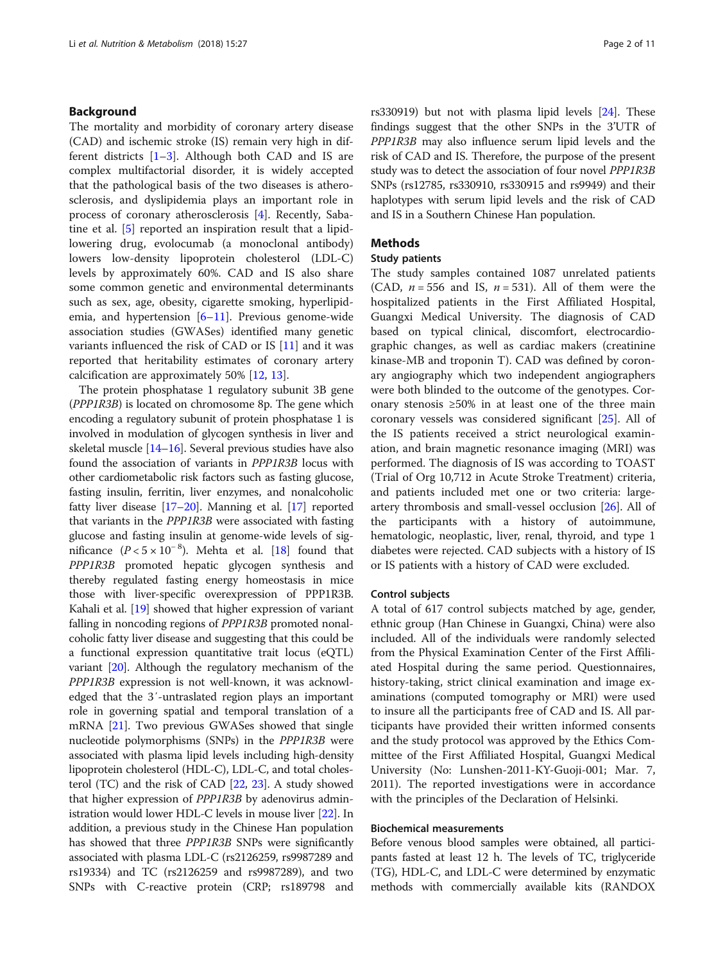## Background

The mortality and morbidity of coronary artery disease (CAD) and ischemic stroke (IS) remain very high in different districts  $[1-3]$  $[1-3]$  $[1-3]$ . Although both CAD and IS are complex multifactorial disorder, it is widely accepted that the pathological basis of the two diseases is atherosclerosis, and dyslipidemia plays an important role in process of coronary atherosclerosis [\[4\]](#page-9-0). Recently, Sabatine et al. [\[5](#page-9-0)] reported an inspiration result that a lipidlowering drug, evolocumab (a monoclonal antibody) lowers low-density lipoprotein cholesterol (LDL-C) levels by approximately 60%. CAD and IS also share some common genetic and environmental determinants such as sex, age, obesity, cigarette smoking, hyperlipidemia, and hypertension  $[6–11]$  $[6–11]$  $[6–11]$  $[6–11]$  $[6–11]$ . Previous genome-wide association studies (GWASes) identified many genetic variants influenced the risk of CAD or IS [[11](#page-10-0)] and it was reported that heritability estimates of coronary artery calcification are approximately 50% [[12](#page-10-0), [13](#page-10-0)].

The protein phosphatase 1 regulatory subunit 3B gene (PPP1R3B) is located on chromosome 8p. The gene which encoding a regulatory subunit of protein phosphatase 1 is involved in modulation of glycogen synthesis in liver and skeletal muscle  $[14–16]$  $[14–16]$  $[14–16]$  $[14–16]$ . Several previous studies have also found the association of variants in PPP1R3B locus with other cardiometabolic risk factors such as fasting glucose, fasting insulin, ferritin, liver enzymes, and nonalcoholic fatty liver disease [[17](#page-10-0)–[20\]](#page-10-0). Manning et al. [\[17\]](#page-10-0) reported that variants in the PPP1R3B were associated with fasting glucose and fasting insulin at genome-wide levels of significance  $(P < 5 \times 10^{-8})$ . Mehta et al. [[18](#page-10-0)] found that PPP1R3B promoted hepatic glycogen synthesis and thereby regulated fasting energy homeostasis in mice those with liver-specific overexpression of PPP1R3B. Kahali et al. [\[19\]](#page-10-0) showed that higher expression of variant falling in noncoding regions of PPP1R3B promoted nonalcoholic fatty liver disease and suggesting that this could be a functional expression quantitative trait locus (eQTL) variant [[20](#page-10-0)]. Although the regulatory mechanism of the PPP1R3B expression is not well-known, it was acknowledged that the 3′-untraslated region plays an important role in governing spatial and temporal translation of a mRNA [\[21\]](#page-10-0). Two previous GWASes showed that single nucleotide polymorphisms (SNPs) in the PPP1R3B were associated with plasma lipid levels including high-density lipoprotein cholesterol (HDL-C), LDL-C, and total cholesterol (TC) and the risk of CAD [[22](#page-10-0), [23\]](#page-10-0). A study showed that higher expression of PPP1R3B by adenovirus administration would lower HDL-C levels in mouse liver [\[22](#page-10-0)]. In addition, a previous study in the Chinese Han population has showed that three PPP1R3B SNPs were significantly associated with plasma LDL-C (rs2126259, rs9987289 and rs19334) and TC (rs2126259 and rs9987289), and two SNPs with C-reactive protein (CRP; rs189798 and rs330919) but not with plasma lipid levels [[24](#page-10-0)]. These findings suggest that the other SNPs in the 3'UTR of PPP1R3B may also influence serum lipid levels and the risk of CAD and IS. Therefore, the purpose of the present study was to detect the association of four novel PPP1R3B SNPs (rs12785, rs330910, rs330915 and rs9949) and their haplotypes with serum lipid levels and the risk of CAD and IS in a Southern Chinese Han population.

## **Methods**

## Study patients

The study samples contained 1087 unrelated patients (CAD,  $n = 556$  and IS,  $n = 531$ ). All of them were the hospitalized patients in the First Affiliated Hospital, Guangxi Medical University. The diagnosis of CAD based on typical clinical, discomfort, electrocardiographic changes, as well as cardiac makers (creatinine kinase-MB and troponin T). CAD was defined by coronary angiography which two independent angiographers were both blinded to the outcome of the genotypes. Coronary stenosis ≥50% in at least one of the three main coronary vessels was considered significant [[25](#page-10-0)]. All of the IS patients received a strict neurological examination, and brain magnetic resonance imaging (MRI) was performed. The diagnosis of IS was according to TOAST (Trial of Org 10,712 in Acute Stroke Treatment) criteria, and patients included met one or two criteria: largeartery thrombosis and small-vessel occlusion [[26](#page-10-0)]. All of the participants with a history of autoimmune, hematologic, neoplastic, liver, renal, thyroid, and type 1 diabetes were rejected. CAD subjects with a history of IS or IS patients with a history of CAD were excluded.

### Control subjects

A total of 617 control subjects matched by age, gender, ethnic group (Han Chinese in Guangxi, China) were also included. All of the individuals were randomly selected from the Physical Examination Center of the First Affiliated Hospital during the same period. Questionnaires, history-taking, strict clinical examination and image examinations (computed tomography or MRI) were used to insure all the participants free of CAD and IS. All participants have provided their written informed consents and the study protocol was approved by the Ethics Committee of the First Affiliated Hospital, Guangxi Medical University (No: Lunshen-2011-KY-Guoji-001; Mar. 7, 2011). The reported investigations were in accordance with the principles of the Declaration of Helsinki.

## Biochemical measurements

Before venous blood samples were obtained, all participants fasted at least 12 h. The levels of TC, triglyceride (TG), HDL-C, and LDL-C were determined by enzymatic methods with commercially available kits (RANDOX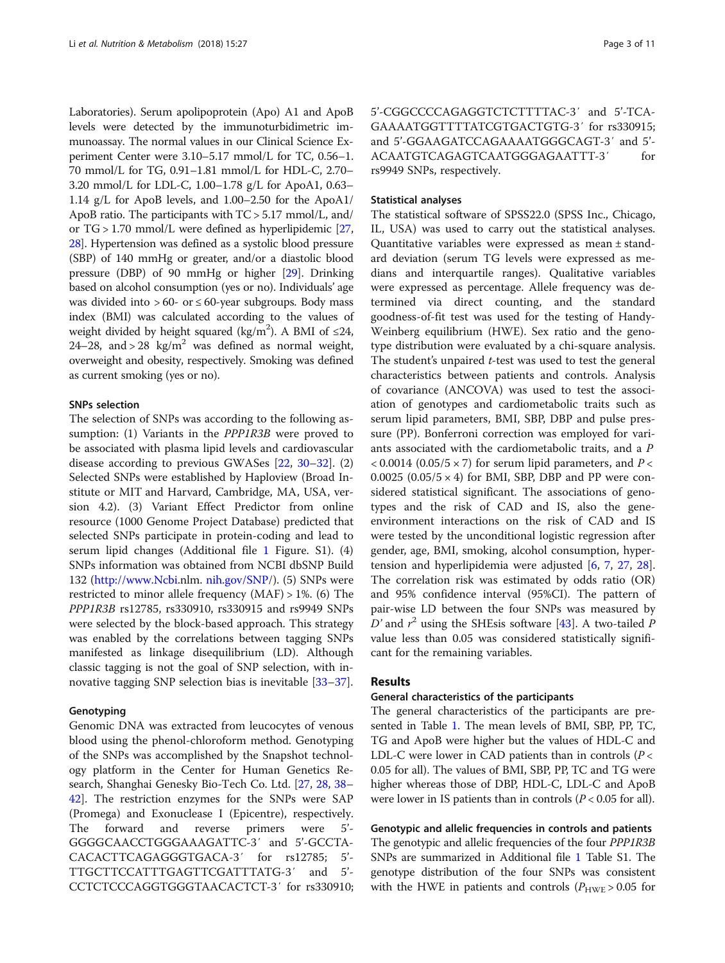Laboratories). Serum apolipoprotein (Apo) A1 and ApoB levels were detected by the immunoturbidimetric immunoassay. The normal values in our Clinical Science Experiment Center were 3.10–5.17 mmol/L for TC, 0.56–1. 70 mmol/L for TG, 0.91–1.81 mmol/L for HDL-C, 2.70– 3.20 mmol/L for LDL-C, 1.00–1.78 g/L for ApoA1, 0.63– 1.14 g/L for ApoB levels, and 1.00–2.50 for the ApoA1/ ApoB ratio. The participants with TC > 5.17 mmol/L, and/ or TG > 1.70 mmol/L were defined as hyperlipidemic [[27](#page-10-0), [28](#page-10-0)]. Hypertension was defined as a systolic blood pressure (SBP) of 140 mmHg or greater, and/or a diastolic blood pressure (DBP) of 90 mmHg or higher [[29](#page-10-0)]. Drinking based on alcohol consumption (yes or no). Individuals' age was divided into  $> 60$ - or  $\leq 60$ -year subgroups. Body mass index (BMI) was calculated according to the values of weight divided by height squared (kg/m<sup>2</sup>). A BMI of  $\leq$ 24, 24–28, and > 28 kg/m<sup>2</sup> was defined as normal weight, overweight and obesity, respectively. Smoking was defined as current smoking (yes or no).

## SNPs selection

The selection of SNPs was according to the following assumption: (1) Variants in the PPP1R3B were proved to be associated with plasma lipid levels and cardiovascular disease according to previous GWASes [[22](#page-10-0), [30](#page-10-0)–[32](#page-10-0)]. (2) Selected SNPs were established by Haploview (Broad Institute or MIT and Harvard, Cambridge, MA, USA, version 4.2). (3) Variant Effect Predictor from online resource (1000 Genome Project Database) predicted that selected SNPs participate in protein-coding and lead to serum lipid changes (Additional file [1](#page-9-0) Figure. S1). (4) SNPs information was obtained from NCBI dbSNP Build 132 [\(http://www.Ncbi.](http://www.ncbi)nlm. [nih.gov/SNP/](http://nih.gov/SNP)). (5) SNPs were restricted to minor allele frequency (MAF) > 1%. (6) The PPP1R3B rs12785, rs330910, rs330915 and rs9949 SNPs were selected by the block-based approach. This strategy was enabled by the correlations between tagging SNPs manifested as linkage disequilibrium (LD). Although classic tagging is not the goal of SNP selection, with innovative tagging SNP selection bias is inevitable [\[33](#page-10-0)–[37\]](#page-10-0).

## Genotyping

Genomic DNA was extracted from leucocytes of venous blood using the phenol-chloroform method. Genotyping of the SNPs was accomplished by the Snapshot technology platform in the Center for Human Genetics Research, Shanghai Genesky Bio-Tech Co. Ltd. [[27,](#page-10-0) [28,](#page-10-0) [38](#page-10-0)– [42\]](#page-10-0). The restriction enzymes for the SNPs were SAP (Promega) and Exonuclease I (Epicentre), respectively. The forward and reverse primers were 5'- GGGGCAACCTGGGAAAGATTC-3′ and 5'-GCCTA-CACACTTCAGAGGGTGACA-3′ for rs12785; 5'- TTGCTTCCATTTGAGTTCGATTTATG-3′ and 5'- CCTCTCCCAGGTGGGTAACACTCT-3′ for rs330910; 5'-CGGCCCCAGAGGTCTCTTTTAC-3′ and 5'-TCA-GAAAATGGTTTTATCGTGACTGTG-3′ for rs330915; and 5'-GGAAGATCCAGAAAATGGGCAGT-3′ and 5'- ACAATGTCAGAGTCAATGGGAGAATTT-3' for rs9949 SNPs, respectively.

## Statistical analyses

The statistical software of SPSS22.0 (SPSS Inc., Chicago, IL, USA) was used to carry out the statistical analyses. Quantitative variables were expressed as mean ± standard deviation (serum TG levels were expressed as medians and interquartile ranges). Qualitative variables were expressed as percentage. Allele frequency was determined via direct counting, and the standard goodness-of-fit test was used for the testing of Handy-Weinberg equilibrium (HWE). Sex ratio and the genotype distribution were evaluated by a chi-square analysis. The student's unpaired  $t$ -test was used to test the general characteristics between patients and controls. Analysis of covariance (ANCOVA) was used to test the association of genotypes and cardiometabolic traits such as serum lipid parameters, BMI, SBP, DBP and pulse pressure (PP). Bonferroni correction was employed for variants associated with the cardiometabolic traits, and a P  $< 0.0014$  (0.05/5  $\times$  7) for serum lipid parameters, and P  $<$ 0.0025 (0.05/5  $\times$  4) for BMI, SBP, DBP and PP were considered statistical significant. The associations of genotypes and the risk of CAD and IS, also the geneenvironment interactions on the risk of CAD and IS were tested by the unconditional logistic regression after gender, age, BMI, smoking, alcohol consumption, hypertension and hyperlipidemia were adjusted [[6,](#page-9-0) [7,](#page-9-0) [27](#page-10-0), [28](#page-10-0)]. The correlation risk was estimated by odds ratio (OR) and 95% confidence interval (95%CI). The pattern of pair-wise LD between the four SNPs was measured by  $D'$  and  $r^2$  using the SHEsis software [[43\]](#page-10-0). A two-tailed  $P$ value less than 0.05 was considered statistically significant for the remaining variables.

### Results

## General characteristics of the participants

The general characteristics of the participants are presented in Table [1.](#page-3-0) The mean levels of BMI, SBP, PP, TC, TG and ApoB were higher but the values of HDL-C and LDL-C were lower in CAD patients than in controls  $(P <$ 0.05 for all). The values of BMI, SBP, PP, TC and TG were higher whereas those of DBP, HDL-C, LDL-C and ApoB were lower in IS patients than in controls  $(P < 0.05$  for all).

Genotypic and allelic frequencies in controls and patients The genotypic and allelic frequencies of the four PPP1R3B SNPs are summarized in Additional file [1](#page-9-0) Table S1. The genotype distribution of the four SNPs was consistent with the HWE in patients and controls ( $P_{\text{HWE}} > 0.05$  for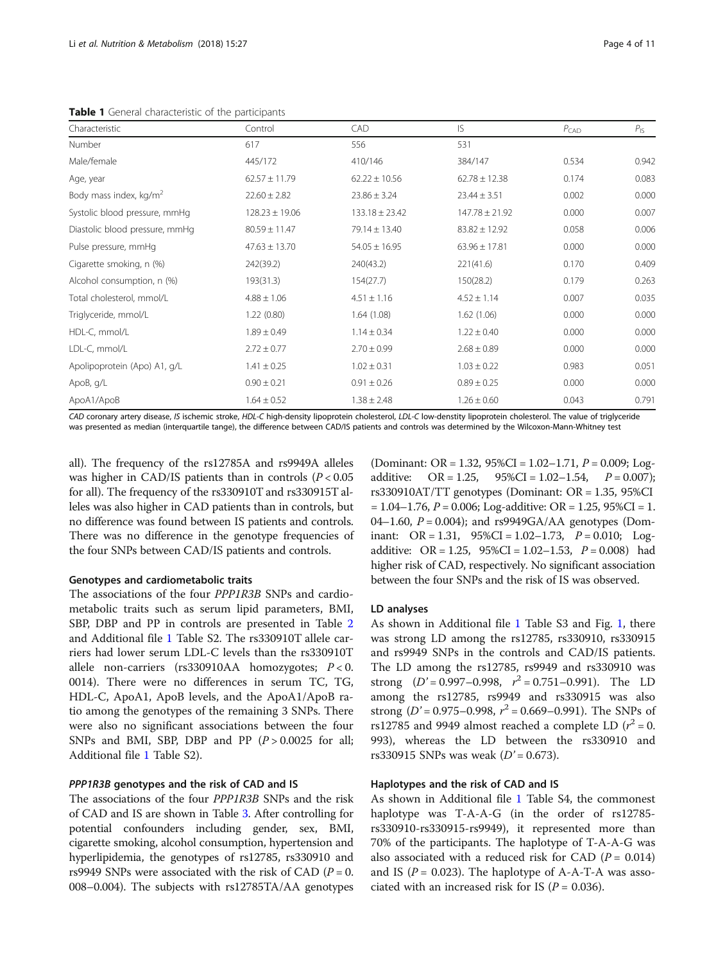<span id="page-3-0"></span>Table 1 General characteristic of the participants

| Characteristic                     | Control            | CAD                | IS                 | $P_{CAD}$ | $P_{\text{IS}}$ |
|------------------------------------|--------------------|--------------------|--------------------|-----------|-----------------|
| Number                             | 617                | 556                | 531                |           |                 |
| Male/female                        | 445/172            | 410/146            | 384/147            | 0.534     | 0.942           |
| Age, year                          | $62.57 \pm 11.79$  | $62.22 \pm 10.56$  | $62.78 \pm 12.38$  | 0.174     | 0.083           |
| Body mass index, kg/m <sup>2</sup> | $22.60 \pm 2.82$   | $23.86 \pm 3.24$   | $23.44 \pm 3.51$   | 0.002     | 0.000           |
| Systolic blood pressure, mmHg      | $128.23 \pm 19.06$ | $133.18 \pm 23.42$ | $147.78 \pm 21.92$ | 0.000     | 0.007           |
| Diastolic blood pressure, mmHg     | $80.59 \pm 11.47$  | $79.14 \pm 13.40$  | $83.82 \pm 12.92$  | 0.058     | 0.006           |
| Pulse pressure, mmHg               | $47.63 \pm 13.70$  | $54.05 \pm 16.95$  | $63.96 \pm 17.81$  | 0.000     | 0.000           |
| Cigarette smoking, n (%)           | 242(39.2)          | 240(43.2)          | 221(41.6)          | 0.170     | 0.409           |
| Alcohol consumption, n (%)         | 193(31.3)          | 154(27.7)          | 150(28.2)          | 0.179     | 0.263           |
| Total cholesterol, mmol/L          | $4.88 \pm 1.06$    | $4.51 \pm 1.16$    | $4.52 \pm 1.14$    | 0.007     | 0.035           |
| Triglyceride, mmol/L               | 1.22(0.80)         | 1.64(1.08)         | 1.62(1.06)         | 0.000     | 0.000           |
| HDL-C, mmol/L                      | $1.89 \pm 0.49$    | $1.14 \pm 0.34$    | $1.22 \pm 0.40$    | 0.000     | 0.000           |
| LDL-C, mmol/L                      | $2.72 \pm 0.77$    | $2.70 \pm 0.99$    | $2.68 \pm 0.89$    | 0.000     | 0.000           |
| Apolipoprotein (Apo) A1, g/L       | $1.41 \pm 0.25$    | $1.02 \pm 0.31$    | $1.03 \pm 0.22$    | 0.983     | 0.051           |
| ApoB, g/L                          | $0.90 \pm 0.21$    | $0.91 \pm 0.26$    | $0.89 \pm 0.25$    | 0.000     | 0.000           |
| ApoA1/ApoB                         | $1.64 \pm 0.52$    | $1.38 \pm 2.48$    | $1.26 \pm 0.60$    | 0.043     | 0.791           |

CAD coronary artery disease, IS ischemic stroke, HDL-C high-density lipoprotein cholesterol, LDL-C low-denstity lipoprotein cholesterol. The value of triglyceride was presented as median (interquartile tange), the difference between CAD/IS patients and controls was determined by the Wilcoxon-Mann-Whitney test

all). The frequency of the rs12785A and rs9949A alleles was higher in CAD/IS patients than in controls  $(P < 0.05$ for all). The frequency of the rs330910T and rs330915T alleles was also higher in CAD patients than in controls, but no difference was found between IS patients and controls. There was no difference in the genotype frequencies of the four SNPs between CAD/IS patients and controls.

## Genotypes and cardiometabolic traits

The associations of the four PPP1R3B SNPs and cardiometabolic traits such as serum lipid parameters, BMI, SBP, DBP and PP in controls are presented in Table [2](#page-4-0) and Additional file [1](#page-9-0) Table S2. The rs330910T allele carriers had lower serum LDL-C levels than the rs330910T allele non-carriers (rs330910AA homozygotes;  $P < 0$ . 0014). There were no differences in serum TC, TG, HDL-C, ApoA1, ApoB levels, and the ApoA1/ApoB ratio among the genotypes of the remaining 3 SNPs. There were also no significant associations between the four SNPs and BMI, SBP, DBP and PP  $(P > 0.0025$  for all; Additional file [1](#page-9-0) Table S2).

## PPP1R3B genotypes and the risk of CAD and IS

The associations of the four PPP1R3B SNPs and the risk of CAD and IS are shown in Table [3.](#page-5-0) After controlling for potential confounders including gender, sex, BMI, cigarette smoking, alcohol consumption, hypertension and hyperlipidemia, the genotypes of rs12785, rs330910 and rs9949 SNPs were associated with the risk of CAD ( $P = 0$ . 008–0.004). The subjects with rs12785TA/AA genotypes

(Dominant: OR = 1.32,  $95\%CI = 1.02-1.71$ ,  $P = 0.009$ ; Logadditive:  $OR = 1.25$ ,  $95\%CI = 1.02 - 1.54$ ,  $P = 0.007$ ); rs330910AT/TT genotypes (Dominant:  $OR = 1.35$ , 95%CI  $= 1.04 - 1.76$ ,  $P = 0.006$ ; Log-additive: OR  $= 1.25$ , 95%CI  $= 1$ . 04–1.60,  $P = 0.004$ ); and rs9949GA/AA genotypes (Dominant:  $OR = 1.31$ ,  $95\%CI = 1.02 - 1.73$ ,  $P = 0.010$ ; Logadditive:  $OR = 1.25$ ,  $95\%CI = 1.02 - 1.53$ ,  $P = 0.008$ ) had higher risk of CAD, respectively. No significant association between the four SNPs and the risk of IS was observed.

## LD analyses

As shown in Additional file [1](#page-9-0) Table S3 and Fig. [1,](#page-5-0) there was strong LD among the rs12785, rs330910, rs330915 and rs9949 SNPs in the controls and CAD/IS patients. The LD among the rs12785, rs9949 and rs330910 was strong  $(D' = 0.997 - 0.998, r^2 = 0.751 - 0.991)$ . The LD among the rs12785, rs9949 and rs330915 was also strong ( $D' = 0.975 - 0.998$ ,  $r^2 = 0.669 - 0.991$ ). The SNPs of rs12785 and 9949 almost reached a complete LD ( $r^2 = 0$ . 993), whereas the LD between the rs330910 and rs330915 SNPs was weak  $(D' = 0.673)$ .

## Haplotypes and the risk of CAD and IS

As shown in Additional file [1](#page-9-0) Table S4, the commonest haplotype was T-A-A-G (in the order of rs12785 rs330910-rs330915-rs9949), it represented more than 70% of the participants. The haplotype of T-A-A-G was also associated with a reduced risk for CAD ( $P = 0.014$ ) and IS ( $P = 0.023$ ). The haplotype of A-A-T-A was associated with an increased risk for IS ( $P = 0.036$ ).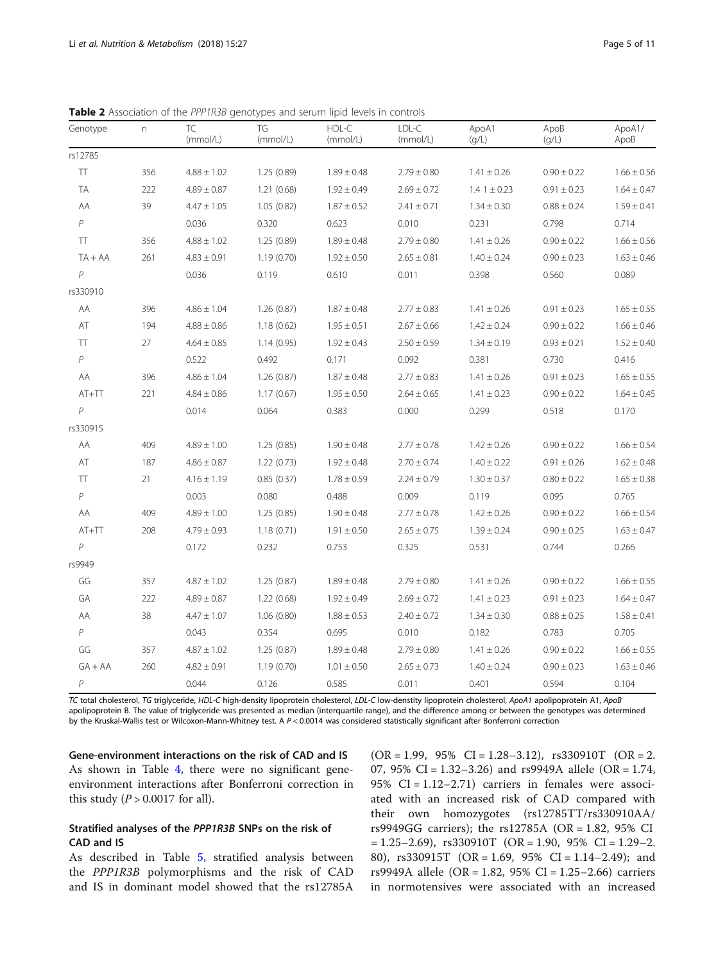| Genotype                  | n   | TC.<br>(mmol/L) | <b>TG</b><br>(mmol/L) | HDL-C<br>(mmol/L) | LDL-C<br>(mmol/L) | ApoA1<br>(q/L)  | ApoB<br>(g/L)   | ApoA1/<br>ApoB  |
|---------------------------|-----|-----------------|-----------------------|-------------------|-------------------|-----------------|-----------------|-----------------|
| rs12785                   |     |                 |                       |                   |                   |                 |                 |                 |
| TT                        | 356 | $4.88 \pm 1.02$ | 1.25(0.89)            | $1.89 \pm 0.48$   | $2.79 \pm 0.80$   | $1.41 \pm 0.26$ | $0.90 \pm 0.22$ | $1.66 \pm 0.56$ |
| TA                        | 222 | $4.89 \pm 0.87$ | 1.21(0.68)            | $1.92 \pm 0.49$   | $2.69 \pm 0.72$   | $1.41 \pm 0.23$ | $0.91 \pm 0.23$ | $1.64 \pm 0.47$ |
| AA                        | 39  | $4.47 \pm 1.05$ | 1.05(0.82)            | $1.87 \pm 0.52$   | $2.41 \pm 0.71$   | $1.34 \pm 0.30$ | $0.88 \pm 0.24$ | $1.59 \pm 0.41$ |
| $\, \mathcal{P} \,$       |     | 0.036           | 0.320                 | 0.623             | 0.010             | 0.231           | 0.798           | 0.714           |
| T                         | 356 | $4.88 \pm 1.02$ | 1.25(0.89)            | $1.89 \pm 0.48$   | $2.79 \pm 0.80$   | $1.41 \pm 0.26$ | $0.90 \pm 0.22$ | $1.66 \pm 0.56$ |
| $TA + AA$                 | 261 | $4.83 \pm 0.91$ | 1.19(0.70)            | $1.92 \pm 0.50$   | $2.65 \pm 0.81$   | $1.40 \pm 0.24$ | $0.90 \pm 0.23$ | $1.63 \pm 0.46$ |
| $\overline{P}$            |     | 0.036           | 0.119                 | 0.610             | 0.011             | 0.398           | 0.560           | 0.089           |
| rs330910                  |     |                 |                       |                   |                   |                 |                 |                 |
| AA                        | 396 | $4.86 \pm 1.04$ | 1.26(0.87)            | $1.87 \pm 0.48$   | $2.77 \pm 0.83$   | $1.41 \pm 0.26$ | $0.91 \pm 0.23$ | $1.65 \pm 0.55$ |
| AT                        | 194 | $4.88 \pm 0.86$ | 1.18(0.62)            | $1.95 \pm 0.51$   | $2.67 \pm 0.66$   | $1.42 \pm 0.24$ | $0.90 \pm 0.22$ | $1.66 \pm 0.46$ |
| TT                        | 27  | $4.64 \pm 0.85$ | 1.14(0.95)            | $1.92 \pm 0.43$   | $2.50 \pm 0.59$   | $1.34 \pm 0.19$ | $0.93 \pm 0.21$ | $1.52 \pm 0.40$ |
| $\boldsymbol{P}$          |     | 0.522           | 0.492                 | 0.171             | 0.092             | 0.381           | 0.730           | 0.416           |
| AA                        | 396 | $4.86 \pm 1.04$ | 1.26(0.87)            | $1.87 \pm 0.48$   | $2.77 \pm 0.83$   | $1.41 \pm 0.26$ | $0.91 \pm 0.23$ | $1.65 \pm 0.55$ |
| $AT+TT$                   | 221 | $4.84 \pm 0.86$ | 1.17(0.67)            | $1.95 \pm 0.50$   | $2.64 \pm 0.65$   | $1.41 \pm 0.23$ | $0.90 \pm 0.22$ | $1.64 \pm 0.45$ |
| $\mathcal{P}$             |     | 0.014           | 0.064                 | 0.383             | 0.000             | 0.299           | 0.518           | 0.170           |
| rs330915                  |     |                 |                       |                   |                   |                 |                 |                 |
| AA                        | 409 | $4.89 \pm 1.00$ | 1.25(0.85)            | $1.90 \pm 0.48$   | $2.77 \pm 0.78$   | $1.42 \pm 0.26$ | $0.90 \pm 0.22$ | $1.66 \pm 0.54$ |
| AT                        | 187 | $4.86 \pm 0.87$ | 1.22(0.73)            | $1.92 \pm 0.48$   | $2.70 \pm 0.74$   | $1.40 \pm 0.22$ | $0.91 \pm 0.26$ | $1.62 \pm 0.48$ |
| $\top\hspace{-0.1cm}\top$ | 21  | $4.16 \pm 1.19$ | 0.85(0.37)            | $1.78 \pm 0.59$   | $2.24 \pm 0.79$   | $1.30 \pm 0.37$ | $0.80 \pm 0.22$ | $1.65 \pm 0.38$ |
| $\boldsymbol{P}$          |     | 0.003           | 0.080                 | 0.488             | 0.009             | 0.119           | 0.095           | 0.765           |
| AA                        | 409 | $4.89 \pm 1.00$ | 1.25(0.85)            | $1.90 \pm 0.48$   | $2.77 \pm 0.78$   | $1.42 \pm 0.26$ | $0.90 \pm 0.22$ | $1.66 \pm 0.54$ |
| $AT+TT$                   | 208 | $4.79 \pm 0.93$ | 1.18(0.71)            | $1.91 \pm 0.50$   | $2.65 \pm 0.75$   | $1.39 \pm 0.24$ | $0.90 \pm 0.25$ | $1.63 \pm 0.47$ |
| $\overline{P}$            |     | 0.172           | 0.232                 | 0.753             | 0.325             | 0.531           | 0.744           | 0.266           |
| rs9949                    |     |                 |                       |                   |                   |                 |                 |                 |
| GG                        | 357 | $4.87 \pm 1.02$ | 1.25(0.87)            | $1.89 \pm 0.48$   | $2.79 \pm 0.80$   | $1.41 \pm 0.26$ | $0.90 \pm 0.22$ | $1.66 \pm 0.55$ |
| GA                        | 222 | $4.89 \pm 0.87$ | 1.22(0.68)            | $1.92 \pm 0.49$   | $2.69 \pm 0.72$   | $1.41 \pm 0.23$ | $0.91 \pm 0.23$ | $1.64 \pm 0.47$ |
| AA                        | 38  | $4.47 \pm 1.07$ | 1.06 (0.80)           | $1.88 \pm 0.53$   | $2.40 \pm 0.72$   | $1.34 \pm 0.30$ | $0.88 \pm 0.25$ | $1.58 \pm 0.41$ |
| $\, \mathcal{P} \,$       |     | 0.043           | 0.354                 | 0.695             | 0.010             | 0.182           | 0.783           | 0.705           |
| GG                        | 357 | $4.87 \pm 1.02$ | 1.25(0.87)            | $1.89 \pm 0.48$   | $2.79 \pm 0.80$   | $1.41 \pm 0.26$ | $0.90 \pm 0.22$ | $1.66 \pm 0.55$ |
| $GA + AA$                 | 260 | $4.82 \pm 0.91$ | 1.19(0.70)            | $1.01 \pm 0.50$   | $2.65 \pm 0.73$   | $1.40 \pm 0.24$ | $0.90 \pm 0.23$ | $1.63 \pm 0.46$ |
| $\overline{P}$            |     | 0.044           | 0.126                 | 0.585             | 0.011             | 0.401           | 0.594           | 0.104           |

<span id="page-4-0"></span>Table 2 Association of the PPP1R3B genotypes and serum lipid levels in controls

TC total cholesterol, TG triglyceride, HDL-C high-density lipoprotein cholesterol, LDL-C low-denstity lipoprotein cholesterol, ApoA1 apolipoprotein A1, ApoB apolipoprotein B. The value of triglyceride was presented as median (interquartile range), and the difference among or between the genotypes was determined by the Kruskal-Wallis test or Wilcoxon-Mann-Whitney test. A  $P < 0.0014$  was considered statistically significant after Bonferroni correction

Gene-environment interactions on the risk of CAD and IS As shown in Table [4,](#page-6-0) there were no significant geneenvironment interactions after Bonferroni correction in this study ( $P > 0.0017$  for all).

## Stratified analyses of the PPP1R3B SNPs on the risk of CAD and IS

As described in Table [5](#page-7-0), stratified analysis between the PPP1R3B polymorphisms and the risk of CAD and IS in dominant model showed that the rs12785A  $(OR = 1.99, 95\% \text{ CI} = 1.28 - 3.12), rs330910 \text{T} (OR = 2.$ 07, 95% CI =  $1.32-3.26$ ) and rs9949A allele (OR =  $1.74$ , 95%  $CI = 1.12 - 2.71$  carriers in females were associated with an increased risk of CAD compared with their own homozygotes (rs12785TT/rs330910AA/ rs9949GG carriers); the rs12785A (OR = 1.82, 95% CI  $= 1.25 - 2.69$ , rs330910T (OR  $= 1.90$ , 95% CI  $= 1.29 - 2$ . 80), rs330915T (OR = 1.69, 95% CI = 1.14–2.49); and rs9949A allele (OR = 1.82, 95% CI = 1.25–2.66) carriers in normotensives were associated with an increased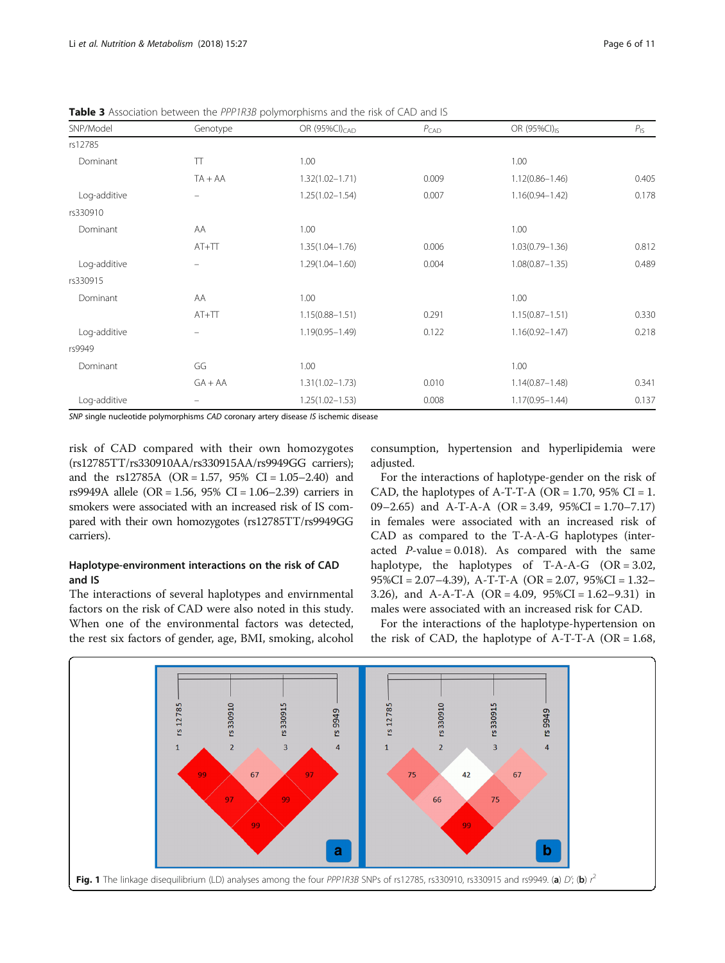| SNP/Model    | Genotype                 | OR (95%CI) <sub>CAD</sub> | $P_{CAD}$ | OR (95%CI) <sub>IS</sub> | $P_{\rm IS}$ |
|--------------|--------------------------|---------------------------|-----------|--------------------------|--------------|
| rs12785      |                          |                           |           |                          |              |
| Dominant     | TT                       | 1.00                      |           | 1.00                     |              |
|              | $TA + AA$                | $1.32(1.02 - 1.71)$       | 0.009     | $1.12(0.86 - 1.46)$      | 0.405        |
| Log-additive | $\qquad \qquad -$        | $1.25(1.02 - 1.54)$       | 0.007     | $1.16(0.94 - 1.42)$      | 0.178        |
| rs330910     |                          |                           |           |                          |              |
| Dominant     | AA                       | 1.00                      |           | 1.00                     |              |
|              | $AT+TT$                  | $1.35(1.04 - 1.76)$       | 0.006     | $1.03(0.79 - 1.36)$      | 0.812        |
| Log-additive | $\overline{\phantom{m}}$ | $1.29(1.04 - 1.60)$       | 0.004     | $1.08(0.87 - 1.35)$      | 0.489        |
| rs330915     |                          |                           |           |                          |              |
| Dominant     | AA                       | 1.00                      |           | 1.00                     |              |
|              | $AT+TT$                  | $1.15(0.88 - 1.51)$       | 0.291     | $1.15(0.87 - 1.51)$      | 0.330        |
| Log-additive | $\qquad \qquad -$        | $1.19(0.95 - 1.49)$       | 0.122     | $1.16(0.92 - 1.47)$      | 0.218        |
| rs9949       |                          |                           |           |                          |              |
| Dominant     | GG                       | 1.00                      |           | 1.00                     |              |
|              | $GA + AA$                | $1.31(1.02 - 1.73)$       | 0.010     | $1.14(0.87 - 1.48)$      | 0.341        |
| Log-additive | $\overline{\phantom{m}}$ | $1.25(1.02 - 1.53)$       | 0.008     | $1.17(0.95 - 1.44)$      | 0.137        |

<span id="page-5-0"></span>Table 3 Association between the PPP1R3B polymorphisms and the risk of CAD and IS

SNP single nucleotide polymorphisms CAD coronary artery disease IS ischemic disease

risk of CAD compared with their own homozygotes (rs12785TT/rs330910AA/rs330915AA/rs9949GG carriers); and the rs12785A (OR = 1.57, 95% CI = 1.05–2.40) and rs9949A allele (OR = 1.56, 95% CI = 1.06–2.39) carriers in smokers were associated with an increased risk of IS compared with their own homozygotes (rs12785TT/rs9949GG carriers).

## Haplotype-environment interactions on the risk of CAD and IS

The interactions of several haplotypes and envirnmental factors on the risk of CAD were also noted in this study. When one of the environmental factors was detected, the rest six factors of gender, age, BMI, smoking, alcohol

consumption, hypertension and hyperlipidemia were adjusted.

For the interactions of haplotype-gender on the risk of CAD, the haplotypes of A-T-T-A (OR = 1.70, 95% CI = 1. 09–2.65) and A-T-A-A (OR = 3.49,  $95\%CI = 1.70 - 7.17$ ) in females were associated with an increased risk of CAD as compared to the T-A-A-G haplotypes (interacted  $P$ -value = 0.018). As compared with the same haplotype, the haplotypes of  $T-A-A-G$  (OR = 3.02, 95%CI = 2.07–4.39), A-T-T-A (OR = 2.07, 95%CI = 1.32– 3.26), and A-A-T-A (OR = 4.09, 95%CI = 1.62–9.31) in males were associated with an increased risk for CAD.

For the interactions of the haplotype-hypertension on the risk of CAD, the haplotype of  $A-T-T-A$  (OR = 1.68,

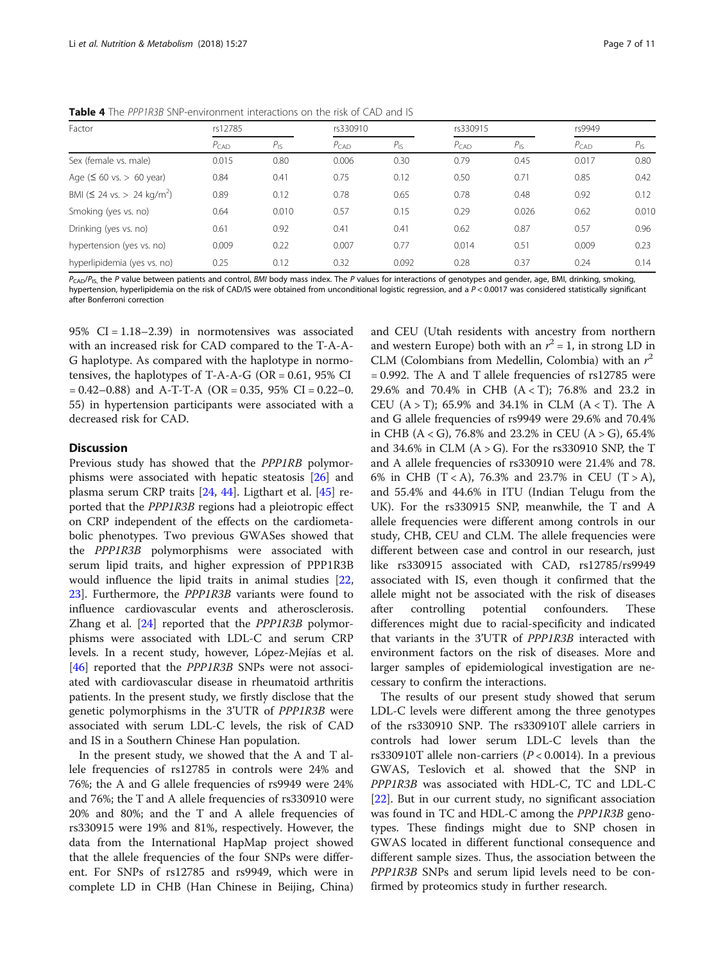<span id="page-6-0"></span>Table 4 The PPP1R3B SNP-environment interactions on the risk of CAD and IS

| Factor                                       | rs12785   |                 | rs330910  |                 |           | rs330915        |           | rs9949   |  |
|----------------------------------------------|-----------|-----------------|-----------|-----------------|-----------|-----------------|-----------|----------|--|
|                                              | $P_{CAD}$ | $P_{\text{IS}}$ | $P_{CAD}$ | $P_{\text{IS}}$ | $P_{CAD}$ | $P_{\text{IS}}$ | $P_{CAD}$ | $P_{15}$ |  |
| Sex (female vs. male)                        | 0.015     | 0.80            | 0.006     | 0.30            | 0.79      | 0.45            | 0.017     | 0.80     |  |
| Age $(560 \text{ vs.} > 60 \text{ year})$    | 0.84      | 0.41            | 0.75      | 0.12            | 0.50      | 0.71            | 0.85      | 0.42     |  |
| BMI ( $\leq$ 24 vs. > 24 kg/m <sup>2</sup> ) | 0.89      | 0.12            | 0.78      | 0.65            | 0.78      | 0.48            | 0.92      | 0.12     |  |
| Smoking (yes vs. no)                         | 0.64      | 0.010           | 0.57      | 0.15            | 0.29      | 0.026           | 0.62      | 0.010    |  |
| Drinking (yes vs. no)                        | 0.61      | 0.92            | 0.41      | 0.41            | 0.62      | 0.87            | 0.57      | 0.96     |  |
| hypertension (yes vs. no)                    | 0.009     | 0.22            | 0.007     | 0.77            | 0.014     | 0.51            | 0.009     | 0.23     |  |
| hyperlipidemia (yes vs. no)                  | 0.25      | 0.12            | 0.32      | 0.092           | 0.28      | 0.37            | 0.24      | 0.14     |  |

 $P_{CAD}/P_{15}$ , the P value between patients and control, BMI body mass index. The P values for interactions of genotypes and gender, age, BMI, drinking, smoking, hypertension, hyperlipidemia on the risk of CAD/IS were obtained from unconditional logistic regression, and a  $P < 0.0017$  was considered statistically significant after Bonferroni correction

95% CI = 1.18–2.39) in normotensives was associated with an increased risk for CAD compared to the T-A-A-G haplotype. As compared with the haplotype in normotensives, the haplotypes of T-A-A-G ( $OR = 0.61$ , 95% CI  $= 0.42 - 0.88$ ) and A-T-T-A (OR  $= 0.35$ , 95% CI  $= 0.22 - 0.$ 55) in hypertension participants were associated with a decreased risk for CAD.

## **Discussion**

Previous study has showed that the PPP1RB polymorphisms were associated with hepatic steatosis [[26\]](#page-10-0) and plasma serum CRP traits [\[24](#page-10-0), [44\]](#page-10-0). Ligthart et al. [[45](#page-10-0)] reported that the PPP1R3B regions had a pleiotropic effect on CRP independent of the effects on the cardiometabolic phenotypes. Two previous GWASes showed that the PPP1R3B polymorphisms were associated with serum lipid traits, and higher expression of PPP1R3B would influence the lipid traits in animal studies [[22](#page-10-0), [23\]](#page-10-0). Furthermore, the PPP1R3B variants were found to influence cardiovascular events and atherosclerosis. Zhang et al. [[24\]](#page-10-0) reported that the PPP1R3B polymorphisms were associated with LDL-C and serum CRP levels. In a recent study, however, López-Mejías et al. [[46\]](#page-10-0) reported that the *PPP1R3B* SNPs were not associated with cardiovascular disease in rheumatoid arthritis patients. In the present study, we firstly disclose that the genetic polymorphisms in the 3'UTR of PPP1R3B were associated with serum LDL-C levels, the risk of CAD and IS in a Southern Chinese Han population.

In the present study, we showed that the A and T allele frequencies of rs12785 in controls were 24% and 76%; the A and G allele frequencies of rs9949 were 24% and 76%; the T and A allele frequencies of rs330910 were 20% and 80%; and the T and A allele frequencies of rs330915 were 19% and 81%, respectively. However, the data from the International HapMap project showed that the allele frequencies of the four SNPs were different. For SNPs of rs12785 and rs9949, which were in complete LD in CHB (Han Chinese in Beijing, China)

and CEU (Utah residents with ancestry from northern and western Europe) both with an  $r^2 = 1$ , in strong LD in CLM (Colombians from Medellin, Colombia) with an  $r^2$ = 0.992. The A and T allele frequencies of rs12785 were 29.6% and 70.4% in CHB (A < T); 76.8% and 23.2 in CEU (A > T); 65.9% and 34.1% in CLM (A < T). The A and G allele frequencies of rs9949 were 29.6% and 70.4% in CHB ( $A < G$ ), 76.8% and 23.2% in CEU ( $A > G$ ), 65.4% and 34.6% in CLM  $(A > G)$ . For the rs330910 SNP, the T and A allele frequencies of rs330910 were 21.4% and 78. 6% in CHB  $(T < A)$ , 76.3% and 23.7% in CEU  $(T > A)$ , and 55.4% and 44.6% in ITU (Indian Telugu from the UK). For the rs330915 SNP, meanwhile, the T and A allele frequencies were different among controls in our study, CHB, CEU and CLM. The allele frequencies were different between case and control in our research, just like rs330915 associated with CAD, rs12785/rs9949 associated with IS, even though it confirmed that the allele might not be associated with the risk of diseases after controlling potential confounders. These differences might due to racial-specificity and indicated that variants in the 3'UTR of PPP1R3B interacted with environment factors on the risk of diseases. More and larger samples of epidemiological investigation are necessary to confirm the interactions.

The results of our present study showed that serum LDL-C levels were different among the three genotypes of the rs330910 SNP. The rs330910T allele carriers in controls had lower serum LDL-C levels than the rs330910T allele non-carriers ( $P < 0.0014$ ). In a previous GWAS, Teslovich et al. showed that the SNP in PPP1R3B was associated with HDL-C, TC and LDL-C [[22\]](#page-10-0). But in our current study, no significant association was found in TC and HDL-C among the PPP1R3B genotypes. These findings might due to SNP chosen in GWAS located in different functional consequence and different sample sizes. Thus, the association between the PPP1R3B SNPs and serum lipid levels need to be confirmed by proteomics study in further research.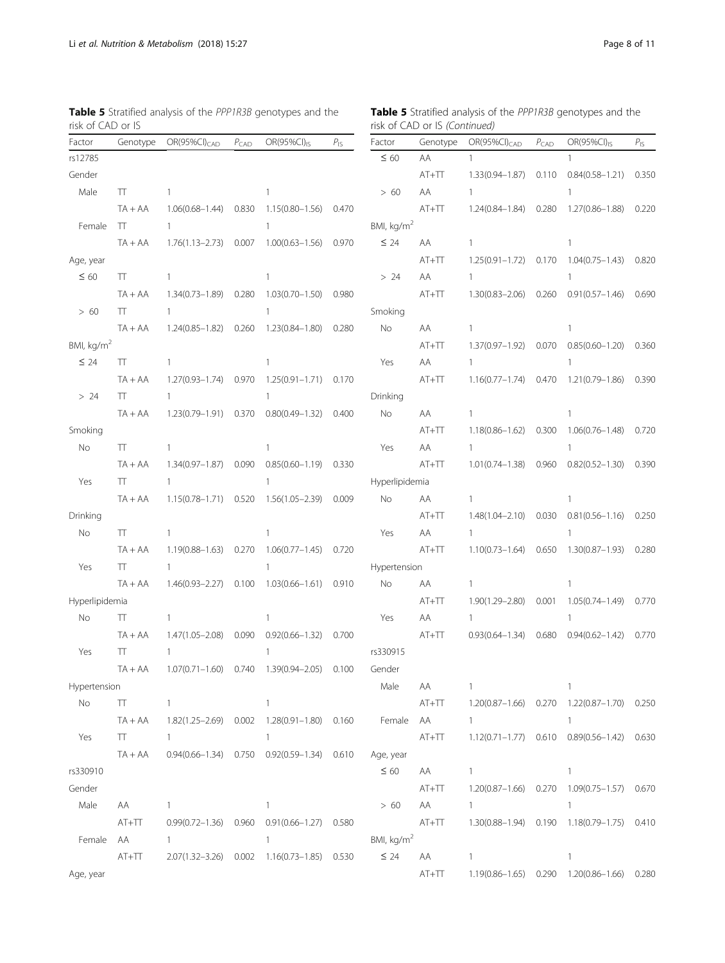<span id="page-7-0"></span>Table 5 Stratified analysis of the PPP1R3B genotypes and the risk of CAD or IS

|                               |  | <b>Table 5</b> Stratified analysis of the PPP1R3B genotypes and the |  |
|-------------------------------|--|---------------------------------------------------------------------|--|
| risk of CAD or IS (Continued) |  |                                                                     |  |

| Factor                 |           | Genotype OR(95%CI) <sub>CAD</sub> | $P_{CAD}$ | $OR(95\%CI)_{15}$                                       | $P_{\text{IS}}$ | Factor         | Genotype | $OR(95\%CI)_{CAD}$  | $P_{CAD}$ | $OR(95\%CI)_{IS}$                              | $P_{\rm IS}$ |
|------------------------|-----------|-----------------------------------|-----------|---------------------------------------------------------|-----------------|----------------|----------|---------------------|-----------|------------------------------------------------|--------------|
| rs12785                |           |                                   |           |                                                         |                 | $\leq 60$      | AA       | 1.                  |           |                                                |              |
| Gender                 |           |                                   |           |                                                         |                 |                | $AT+TT$  |                     |           | 1.33(0.94-1.87)  0.110  0.84(0.58-1.21)  0.350 |              |
| Male                   | TT.       | $\mathbf{1}$                      |           | $\mathbf{1}$                                            |                 | >60            | AA       | $\mathbf{1}$        |           | 1                                              |              |
|                        | $TA + AA$ | $1.06(0.68 - 1.44)$ 0.830         |           | 1.15(0.80–1.56)                                         | 0.470           |                | $AT+TT$  |                     |           | $1.24(0.84-1.84)$ $0.280$ $1.27(0.86-1.88)$    | 0.220        |
| Female                 | $\top$    | $\mathbf{1}$                      |           | $\mathbf{1}$                                            |                 | BMI, $kg/m2$   |          |                     |           |                                                |              |
|                        | $TA + AA$ | 1.76(1.13–2.73)                   |           | $0.007$ $1.00(0.63 - 1.56)$ 0.970                       |                 | $\leq 24$      | AA       | $\mathbf{1}$        |           | 1                                              |              |
| Age, year              |           |                                   |           |                                                         |                 |                | $AT+TT$  |                     |           | 1.25(0.91-1.72)  0.170  1.04(0.75-1.43)        | 0.820        |
| $\leq 60$              | TT.       | $\mathbf{1}$                      |           | $\mathbf{1}$                                            |                 | > 24           | AA       | $\mathbf{1}$        |           |                                                |              |
|                        | $TA + AA$ |                                   |           | 1.34(0.73-1.89) 0.280 1.03(0.70-1.50) 0.980             |                 |                | $AT+TT$  |                     |           | $1.30(0.83-2.06)$ $0.260$ $0.91(0.57-1.46)$    | 0.690        |
| >60                    | $\top$    | $\mathbf{1}$                      |           | $\mathbf{1}$                                            |                 | Smoking        |          |                     |           |                                                |              |
|                        | $TA + AA$ |                                   |           | $1.24(0.85-1.82)$ $0.260$ $1.23(0.84-1.80)$             | 0.280           | No             | AA       | $\mathbf{1}$        |           | 1                                              |              |
| BMI, kg/m <sup>2</sup> |           |                                   |           |                                                         |                 |                | $AT+TT$  | 1.37(0.97–1.92)     |           | $0.070$ $0.85(0.60-1.20)$                      | 0.360        |
| $\leq 24$              | TT.       | $\mathbf{1}$                      |           | 1                                                       |                 | Yes            | AA       | $\mathbf{1}$        |           | -1                                             |              |
|                        | $TA + AA$ | 1.27(0.93-1.74) 0.970             |           | 1.25(0.91-1.71) 0.170                                   |                 |                | $AT+TT$  |                     |           | $1.16(0.77-1.74)$ 0.470 1.21(0.79-1.86)        | 0.390        |
| $>24$                  | TT.       | $\mathbf{1}$                      |           | $\mathbf{1}$                                            |                 | Drinking       |          |                     |           |                                                |              |
|                        | $TA + AA$ |                                   |           | $1.23(0.79-1.91)$ $0.370$ $0.80(0.49-1.32)$             | 0.400           | No             | AA       | $\mathbf{1}$        |           | 1                                              |              |
| Smoking                |           |                                   |           |                                                         |                 |                | $AT+TT$  | $1.18(0.86 - 1.62)$ |           | $0.300$ $1.06(0.76-1.48)$                      | 0.720        |
| No                     | TT.       | $\mathbf{1}$                      |           | 1                                                       |                 | Yes            | AA       | $\mathbf{1}$        |           | 1                                              |              |
|                        | $TA + AA$ |                                   |           | 1.34(0.97-1.87) 0.090 0.85(0.60-1.19) 0.330             |                 |                | $AT+TT$  |                     |           | $1.01(0.74-1.38)$ $0.960$ $0.82(0.52-1.30)$    | 0.390        |
| Yes                    | TT.       | $\mathbf{1}$                      |           | $\mathbf{1}$                                            |                 | Hyperlipidemia |          |                     |           |                                                |              |
|                        | $TA + AA$ |                                   |           | $1.15(0.78-1.71)$ $0.520$ $1.56(1.05-2.39)$ 0.009       |                 | No             | AA       | $\mathbf{1}$        |           | $\mathbf{1}$                                   |              |
| Drinking               |           |                                   |           |                                                         |                 |                | $AT+TT$  | 1.48(1.04–2.10)     |           | $0.030$ $0.81(0.56-1.16)$                      | 0.250        |
| No                     | TT        | $\mathbf{1}$                      |           | 1                                                       |                 | Yes            | AA       | $\mathbf{1}$        |           | $\mathbf{1}$                                   |              |
|                        | $TA + AA$ |                                   |           | 1.19(0.88-1.63) 0.270 1.06(0.77-1.45) 0.720             |                 |                | $AT+TT$  | $1.10(0.73 - 1.64)$ |           | $0.650$ $1.30(0.87-1.93)$ 0.280                |              |
| Yes                    | π         | $\mathbf{1}$                      |           | 1                                                       |                 | Hypertension   |          |                     |           |                                                |              |
|                        | $TA + AA$ |                                   |           | 1.46(0.93-2.27) 0.100 1.03(0.66-1.61) 0.910             |                 | No             | AA       | $\mathbf{1}$        |           | 1                                              |              |
| Hyperlipidemia         |           |                                   |           |                                                         |                 |                | $AT+TT$  | $1.90(1.29 - 2.80)$ | 0.001     | 1.05(0.74-1.49) 0.770                          |              |
| No                     | TΤ        | $\mathbf{1}$                      |           | $\mathbf{1}$                                            |                 | Yes            | AA       | $\mathbf{1}$        |           | $\mathbf{1}$                                   |              |
|                        | TA + AA   | $1.47(1.05 - 2.08)$               | 0.090     | $0.92(0.66 - 1.32)$                                     | 0.700           |                | $AT+TT$  | $0.93(0.64 - 1.34)$ | 0.680     | 0.94(0.62–1.42)                                | 0.770        |
| Yes                    | $\top$    | $\mathbf{1}$                      |           | $\mathbf{1}$                                            |                 | rs330915       |          |                     |           |                                                |              |
|                        | $TA + AA$ |                                   |           | 1.07(0.71-1.60) 0.740 1.39(0.94-2.05) 0.100             |                 | Gender         |          |                     |           |                                                |              |
| Hypertension           |           |                                   |           |                                                         |                 | Male           | AA       |                     |           |                                                |              |
| No                     | TΤ        | $\mathbf{1}$                      |           | 1                                                       |                 |                | $AT+TT$  |                     |           | 1.20(0.87-1.66) 0.270 1.22(0.87-1.70) 0.250    |              |
|                        | $TA + AA$ |                                   |           | 1.82(1.25-2.69) 0.002 1.28(0.91-1.80) 0.160             |                 | Female         | AA       | $\mathbf{1}$        |           | $\mathbf{1}$                                   |              |
| Yes                    | TT.       | $\mathbf{1}$                      |           | 1                                                       |                 |                | $AT+TT$  |                     |           | 1.12(0.71-1.77)  0.610  0.89(0.56-1.42)  0.630 |              |
|                        | $TA + AA$ |                                   |           | $0.94(0.66 - 1.34)$ $0.750$ $0.92(0.59 - 1.34)$ $0.610$ |                 | Age, year      |          |                     |           |                                                |              |
| rs330910               |           |                                   |           |                                                         |                 | $\leq 60$      | AA       | 1                   |           | $\mathbf{1}$                                   |              |
| Gender                 |           |                                   |           |                                                         |                 |                | $AT+TT$  | $1.20(0.87 - 1.66)$ | 0.270     | 1.09(0.75-1.57) 0.670                          |              |
| Male                   | AA        | $\mathbf{1}$                      |           | 1                                                       |                 | > 60           | AA       | $\mathbf{1}$        |           | $\mathbf{1}$                                   |              |
|                        | $AT+TT$   |                                   |           | 0.99(0.72-1.36) 0.960 0.91(0.66-1.27) 0.580             |                 |                | $AT+TT$  | 1.30(0.88-1.94)     |           | $0.190$ $1.18(0.79-1.75)$ $0.410$              |              |
| Female                 | AA        | 1                                 |           | 1                                                       |                 | BMI, $kg/m2$   |          |                     |           |                                                |              |
|                        | $AT+TT$   |                                   |           | 2.07(1.32-3.26) 0.002 1.16(0.73-1.85) 0.530             |                 | $\leq 24$      | AA       | $\mathbf{1}$        |           | 1                                              |              |
| Age, year              |           |                                   |           |                                                         |                 |                | $AT+TT$  |                     |           | 1.19(0.86-1.65) 0.290 1.20(0.86-1.66) 0.280    |              |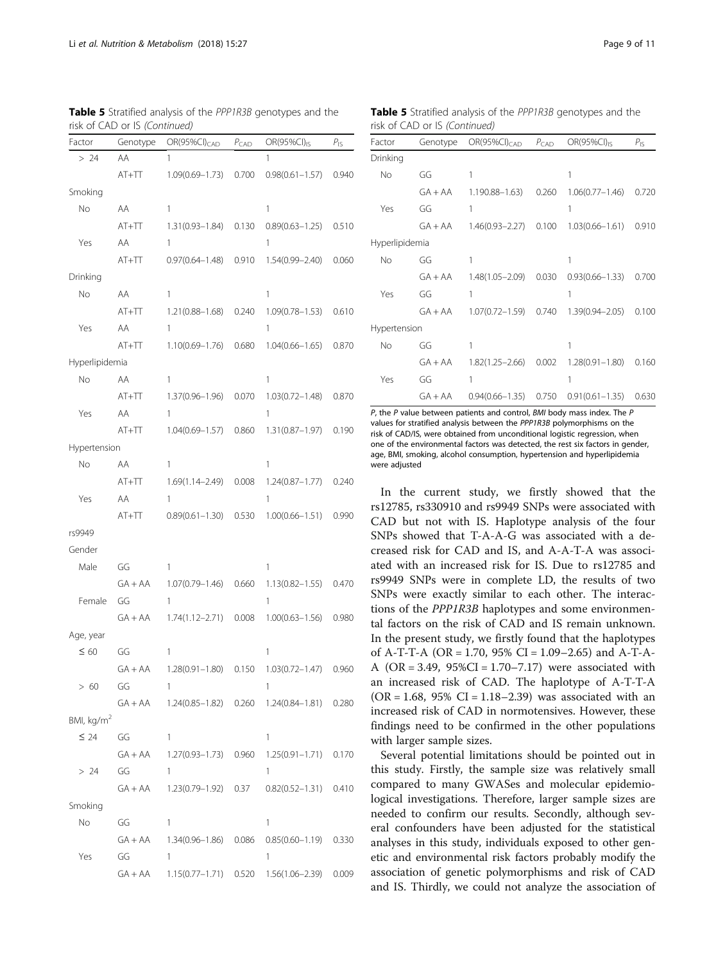| Factor                 | Genotype  | $OR(95\%CI)_{CAD}$  | $P_{\mathsf{CAD}}$ | OR(95%CI) <sub>IS</sub> | $P_{\rm IS}$ |
|------------------------|-----------|---------------------|--------------------|-------------------------|--------------|
| > 24                   | AA        | 1                   |                    | 1                       |              |
|                        | $AT+TT$   | $1.09(0.69 - 1.73)$ | 0.700              | $0.98(0.61 - 1.57)$     | 0.940        |
| Smoking                |           |                     |                    |                         |              |
| No                     | AA        | 1                   |                    | 1                       |              |
|                        | $AT+TT$   | $1.31(0.93 - 1.84)$ | 0.130              | $0.89(0.63 - 1.25)$     | 0.510        |
| Yes                    | AA        | 1                   |                    | 1                       |              |
|                        | $AT+TT$   | $0.97(0.64 - 1.48)$ | 0.910              | $1.54(0.99 - 2.40)$     | 0.060        |
| Drinking               |           |                     |                    |                         |              |
| No                     | AA        | 1                   |                    | 1                       |              |
|                        | $AT+TT$   | 1.21(0.88-1.68)     | 0.240              | $1.09(0.78 - 1.53)$     | 0.610        |
| Yes                    | AA        | 1                   |                    | 1                       |              |
|                        | $AT+TT$   | $1.10(0.69 - 1.76)$ | 0.680              | $1.04(0.66 - 1.65)$     | 0.870        |
| Hyperlipidemia         |           |                     |                    |                         |              |
| No                     | AA        | 1                   |                    | 1                       |              |
|                        | $AT+TT$   | 1.37(0.96-1.96)     | 0.070              | $1.03(0.72 - 1.48)$     | 0.870        |
| Yes                    | AA        | 1                   |                    | 1                       |              |
|                        | $AT+TT$   | $1.04(0.69 - 1.57)$ | 0.860              | $1.31(0.87 - 1.97)$     | 0.190        |
| Hypertension           |           |                     |                    |                         |              |
| No                     | AA        | 1                   |                    | 1                       |              |
|                        | $AT+TT$   | $1.69(1.14 - 2.49)$ | 0.008              | $1.24(0.87 - 1.77)$     | 0.240        |
| Yes                    | AA        | 1                   |                    | 1                       |              |
|                        | $AT+TT$   | $0.89(0.61 - 1.30)$ | 0.530              | $1.00(0.66 - 1.51)$     | 0.990        |
| rs9949                 |           |                     |                    |                         |              |
| Gender                 |           |                     |                    |                         |              |
| Male                   | GG        | 1                   |                    | 1                       |              |
|                        | $GA+AA$   | $1.07(0.79 - 1.46)$ | 0.660              | $1.13(0.82 - 1.55)$     | 0.470        |
| Female                 | GG        | 1                   |                    | 1                       |              |
|                        | $GA + AA$ | $1.74(1.12 - 2.71)$ | 0.008              | $1.00(0.63 - 1.56)$     | 0.980        |
| Age, year              |           |                     |                    |                         |              |
| $\leq 60$              | GG        | 1                   |                    | 1                       |              |
|                        | $GA + AA$ | $1.28(0.91 - 1.80)$ | 0.150              | $1.03(0.72 - 1.47)$     | 0.960        |
| > 60                   | GG        | 1                   |                    | 1                       |              |
|                        | $GA + AA$ | $1.24(0.85 - 1.82)$ | 0.260              | $1.24(0.84 - 1.81)$     | 0.280        |
| BMI, kg/m <sup>2</sup> |           |                     |                    |                         |              |
| $\leq 24$              | GG        | 1                   |                    | 1                       |              |
|                        | $GA+AA$   | $1.27(0.93 - 1.73)$ | 0.960              | $1.25(0.91 - 1.71)$     | 0.170        |
| > 24                   | GG        | 1                   |                    | 1                       |              |
|                        | $GA + AA$ | $1.23(0.79 - 1.92)$ | 0.37               | $0.82(0.52 - 1.31)$     | 0.410        |
| Smoking                |           |                     |                    |                         |              |
| No                     | GG        | 1                   |                    | 1                       |              |
|                        | $GA + AA$ | $1.34(0.96 - 1.86)$ | 0.086              | $0.85(0.60 - 1.19)$     | 0.330        |
| Yes                    | GG        | 1                   |                    | 1                       |              |
|                        | $GA + AA$ | $1.15(0.77 - 1.71)$ | 0.520              | $1.56(1.06 - 2.39)$     | 0.009        |

Table 5 Stratified analysis of the PPP1R3B genotypes and the risk of CAD or IS (Continued)

Table 5 Stratified analysis of the PPP1R3B genotypes and the risk of CAD or IS (Continued)

| Factor         | Genotype  | $OR(95\%CI)_{CAD}$<br>$P_{CAD}$ |       | $OR(95\%CI)_{15}$   | $P_{\rm IS}$ |
|----------------|-----------|---------------------------------|-------|---------------------|--------------|
| Drinking       |           |                                 |       |                     |              |
| No.            | GG        | 1                               |       | 1                   |              |
|                | $GA + AA$ | 1.190.88-1.63)                  | 0.260 | $1.06(0.77 - 1.46)$ | 0.720        |
| Yes            | GG        | 1                               |       |                     |              |
|                | $GA + AA$ | $1.46(0.93 - 2.27)$             | 0.100 | $1.03(0.66 - 1.61)$ | 0.910        |
| Hyperlipidemia |           |                                 |       |                     |              |
| No             | GG        | 1                               |       |                     |              |
|                | $GA + AA$ | $1.48(1.05 - 2.09)$             | 0.030 | $0.93(0.66 - 1.33)$ | 0.700        |
| Yes            | GG        | 1                               |       |                     |              |
|                | $GA + AA$ | $1.07(0.72 - 1.59)$             | 0.740 | $1.39(0.94 - 2.05)$ | 0.100        |
| Hypertension   |           |                                 |       |                     |              |
| No.            | GG        | 1                               |       |                     |              |
|                | $GA + AA$ | $1.82(1.25 - 2.66)$             | 0.002 | $1.28(0.91 - 1.80)$ | 0.160        |
| Yes            | GG        | 1                               |       |                     |              |
|                | $GA + AA$ | $0.94(0.66 - 1.35)$             | 0.750 | $0.91(0.61 - 1.35)$ | 0.630        |

P, the P value between patients and control, BMI body mass index. The P values for stratified analysis between the PPP1R3B polymorphisms on the risk of CAD/IS, were obtained from unconditional logistic regression, when one of the environmental factors was detected, the rest six factors in gender, age, BMI, smoking, alcohol consumption, hypertension and hyperlipidemia were adjusted

In the current study, we firstly showed that the rs12785, rs330910 and rs9949 SNPs were associated with CAD but not with IS. Haplotype analysis of the four SNPs showed that T-A-A-G was associated with a decreased risk for CAD and IS, and A-A-T-A was associated with an increased risk for IS. Due to rs12785 and rs9949 SNPs were in complete LD, the results of two SNPs were exactly similar to each other. The interactions of the PPP1R3B haplotypes and some environmental factors on the risk of CAD and IS remain unknown. In the present study, we firstly found that the haplotypes of A-T-T-A (OR = 1.70, 95% CI = 1.09–2.65) and A-T-A-A ( $OR = 3.49$ ,  $95\%CI = 1.70 - 7.17$ ) were associated with an increased risk of CAD. The haplotype of A-T-T-A  $(OR = 1.68, 95\% \text{ CI} = 1.18 - 2.39)$  was associated with an increased risk of CAD in normotensives. However, these findings need to be confirmed in the other populations with larger sample sizes.

Several potential limitations should be pointed out in this study. Firstly, the sample size was relatively small compared to many GWASes and molecular epidemiological investigations. Therefore, larger sample sizes are needed to confirm our results. Secondly, although several confounders have been adjusted for the statistical analyses in this study, individuals exposed to other genetic and environmental risk factors probably modify the association of genetic polymorphisms and risk of CAD and IS. Thirdly, we could not analyze the association of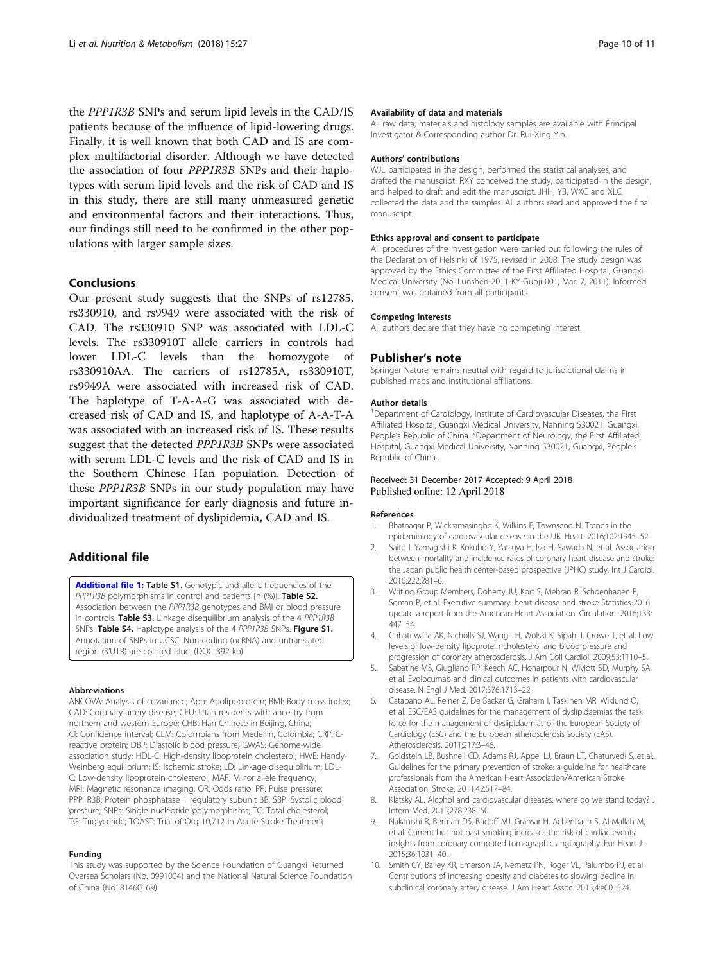<span id="page-9-0"></span>the PPP1R3B SNPs and serum lipid levels in the CAD/IS patients because of the influence of lipid-lowering drugs. Finally, it is well known that both CAD and IS are complex multifactorial disorder. Although we have detected the association of four PPP1R3B SNPs and their haplotypes with serum lipid levels and the risk of CAD and IS in this study, there are still many unmeasured genetic and environmental factors and their interactions. Thus, our findings still need to be confirmed in the other populations with larger sample sizes.

## Conclusions

Our present study suggests that the SNPs of rs12785, rs330910, and rs9949 were associated with the risk of CAD. The rs330910 SNP was associated with LDL-C levels. The rs330910T allele carriers in controls had lower LDL-C levels than the homozygote of rs330910AA. The carriers of rs12785A, rs330910T, rs9949A were associated with increased risk of CAD. The haplotype of T-A-A-G was associated with decreased risk of CAD and IS, and haplotype of A-A-T-A was associated with an increased risk of IS. These results suggest that the detected PPP1R3B SNPs were associated with serum LDL-C levels and the risk of CAD and IS in the Southern Chinese Han population. Detection of these PPP1R3B SNPs in our study population may have important significance for early diagnosis and future individualized treatment of dyslipidemia, CAD and IS.

## Additional file

[Additional file 1:](https://doi.org/10.1186/s12986-018-0266-y) Table S1. Genotypic and allelic frequencies of the PPP1R3B polymorphisms in control and patients [n (%)]. Table S2. Association between the PPP1R3B genotypes and BMI or blood pressure in controls. Table S3. Linkage disequilibrium analysis of the 4 PPP1R3B SNPs. Table S4. Haplotype analysis of the 4 PPP1R3B SNPs. Figure S1. Annotation of SNPs in UCSC. Non-coding (ncRNA) and untranslated region (3'UTR) are colored blue. (DOC 392 kb)

#### Abbreviations

ANCOVA: Analysis of covariance; Apo: Apolipoprotein; BMI: Body mass index; CAD: Coronary artery disease; CEU: Utah residents with ancestry from northern and western Europe; CHB: Han Chinese in Beijing, China; CI: Confidence interval; CLM: Colombians from Medellin, Colombia; CRP: Creactive protein; DBP: Diastolic blood pressure; GWAS: Genome-wide association study; HDL-C: High-density lipoprotein cholesterol; HWE: Handy-Weinberg equilibrium; IS: Ischemic stroke; LD: Linkage disequiblirium; LDL-C: Low-density lipoprotein cholesterol; MAF: Minor allele frequency; MRI: Magnetic resonance imaging; OR: Odds ratio; PP: Pulse pressure; PPP1R3B: Protein phosphatase 1 regulatory subunit 3B; SBP: Systolic blood pressure; SNPs: Single nucleotide polymorphisms; TC: Total cholesterol; TG: Triglyceride; TOAST: Trial of Org 10,712 in Acute Stroke Treatment

#### Funding

This study was supported by the Science Foundation of Guangxi Returned Oversea Scholars (No. 0991004) and the National Natural Science Foundation of China (No. 81460169).

### Availability of data and materials

All raw data, materials and histology samples are available with Principal Investigator & Corresponding author Dr. Rui-Xing Yin.

#### Authors' contributions

WJL participated in the design, performed the statistical analyses, and drafted the manuscript. RXY conceived the study, participated in the design, and helped to draft and edit the manuscript. JHH, YB, WXC and XLC collected the data and the samples. All authors read and approved the final manuscript.

#### Ethics approval and consent to participate

All procedures of the investigation were carried out following the rules of the Declaration of Helsinki of 1975, revised in 2008. The study design was approved by the Ethics Committee of the First Affiliated Hospital, Guangxi Medical University (No: Lunshen-2011-KY-Guoji-001; Mar. 7, 2011). Informed consent was obtained from all participants.

#### Competing interests

All authors declare that they have no competing interest.

#### Publisher's note

Springer Nature remains neutral with regard to jurisdictional claims in published maps and institutional affiliations.

#### Author details

<sup>1</sup>Department of Cardiology, Institute of Cardiovascular Diseases, the First Affiliated Hospital, Guangxi Medical University, Nanning 530021, Guangxi, People's Republic of China. <sup>2</sup>Department of Neurology, the First Affiliated Hospital, Guangxi Medical University, Nanning 530021, Guangxi, People's Republic of China.

#### Received: 31 December 2017 Accepted: 9 April 2018 Published online: 12 April 2018

#### References

- Bhatnagar P, Wickramasinghe K, Wilkins E, Townsend N. Trends in the epidemiology of cardiovascular disease in the UK. Heart. 2016;102:1945–52.
- 2. Saito I, Yamagishi K, Kokubo Y, Yatsuya H, Iso H, Sawada N, et al. Association between mortality and incidence rates of coronary heart disease and stroke: the Japan public health center-based prospective (JPHC) study. Int J Cardiol. 2016;222:281–6.
- 3. Writing Group Members, Doherty JU, Kort S, Mehran R, Schoenhagen P, Soman P, et al. Executive summary: heart disease and stroke Statistics-2016 update a report from the American Heart Association. Circulation. 2016;133: 447–54.
- 4. Chhatriwalla AK, Nicholls SJ, Wang TH, Wolski K, Sipahi I, Crowe T, et al. Low levels of low-density lipoprotein cholesterol and blood pressure and progression of coronary atherosclerosis. J Am Coll Cardiol. 2009;53:1110–5.
- 5. Sabatine MS, Giugliano RP, Keech AC, Honarpour N, Wiviott SD, Murphy SA, et al. Evolocumab and clinical outcomes in patients with cardiovascular disease. N Engl J Med. 2017;376:1713–22.
- 6. Catapano AL, Reiner Z, De Backer G, Graham I, Taskinen MR, Wiklund O, et al. ESC/EAS guidelines for the management of dyslipidaemias the task force for the management of dyslipidaemias of the European Society of Cardiology (ESC) and the European atherosclerosis society (EAS). Atherosclerosis. 2011;217:3–46.
- 7. Goldstein LB, Bushnell CD, Adams RJ, Appel LJ, Braun LT, Chaturvedi S, et al. Guidelines for the primary prevention of stroke: a guideline for healthcare professionals from the American Heart Association/American Stroke Association. Stroke. 2011;42:517–84.
- 8. Klatsky AL. Alcohol and cardiovascular diseases: where do we stand today? J Intern Med. 2015;278:238–50.
- 9. Nakanishi R, Berman DS, Budoff MJ, Gransar H, Achenbach S, Al-Mallah M, et al. Current but not past smoking increases the risk of cardiac events: insights from coronary computed tomographic angiography. Eur Heart J. 2015;36:1031–40.
- 10. Smith CY, Bailey KR, Emerson JA, Nemetz PN, Roger VL, Palumbo PJ, et al. Contributions of increasing obesity and diabetes to slowing decline in subclinical coronary artery disease. J Am Heart Assoc. 2015;4:e001524.